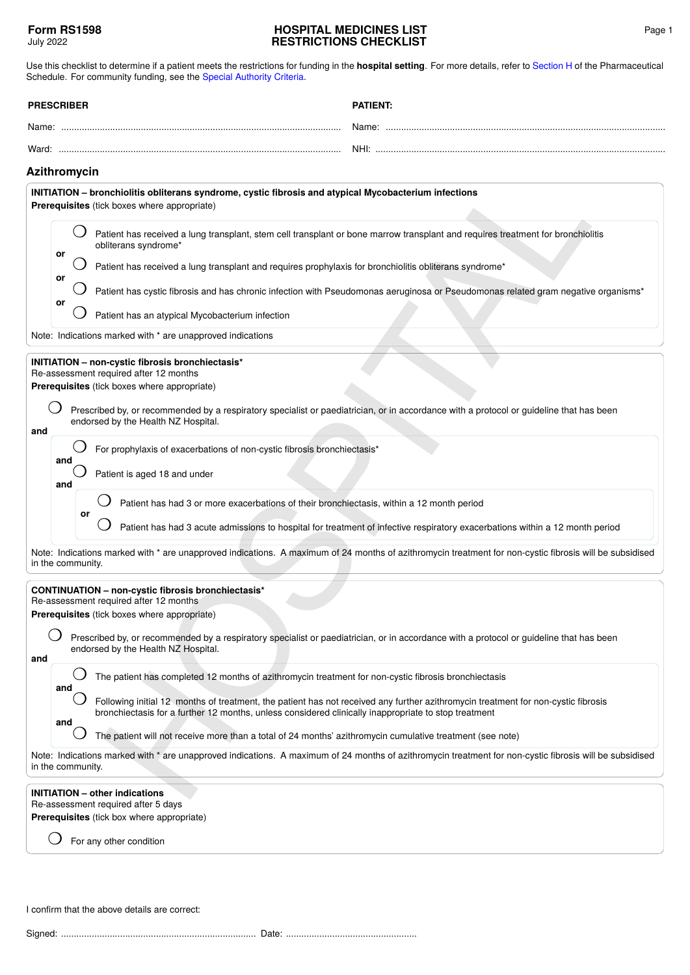## **HOSPITAL MEDICINES LIST RESTRICTIONS CHECKLIST**

Use this checklist to determine if a patient meets the restrictions for funding in the **hospital setting**. For more details, refer to [Section H](https://pharmac.govt.nz/section-h/) of the Pharmaceutical Schedule. For community funding, see the [Special Authority Criteria](https://pharmac.govt.nz/SAForms/).

| <b>PRESCRIBER</b> |  | <b>PATIENT:</b> |
|-------------------|--|-----------------|
| Name:             |  | Name:           |
| Ward:             |  | <b>NIHI</b>     |

## **Azithromycin**

| Azithromycin                                                                                                                                                                                                                                                                                                                          |  |  |  |
|---------------------------------------------------------------------------------------------------------------------------------------------------------------------------------------------------------------------------------------------------------------------------------------------------------------------------------------|--|--|--|
| INITIATION - bronchiolitis obliterans syndrome, cystic fibrosis and atypical Mycobacterium infections<br><b>Prerequisites</b> (tick boxes where appropriate)                                                                                                                                                                          |  |  |  |
| Patient has received a lung transplant, stem cell transplant or bone marrow transplant and requires treatment for bronchiolitis<br>obliterans syndrome*                                                                                                                                                                               |  |  |  |
| or<br>Patient has received a lung transplant and requires prophylaxis for bronchiolitis obliterans syndrome*<br>or                                                                                                                                                                                                                    |  |  |  |
| Patient has cystic fibrosis and has chronic infection with Pseudomonas aeruginosa or Pseudomonas related gram negative organisms*<br>or                                                                                                                                                                                               |  |  |  |
| Patient has an atypical Mycobacterium infection                                                                                                                                                                                                                                                                                       |  |  |  |
| Note: Indications marked with * are unapproved indications                                                                                                                                                                                                                                                                            |  |  |  |
| INITIATION - non-cystic fibrosis bronchiectasis*<br>Re-assessment required after 12 months<br>Prerequisites (tick boxes where appropriate)                                                                                                                                                                                            |  |  |  |
| Prescribed by, or recommended by a respiratory specialist or paediatrician, or in accordance with a protocol or guideline that has been<br>endorsed by the Health NZ Hospital.<br>and                                                                                                                                                 |  |  |  |
| For prophylaxis of exacerbations of non-cystic fibrosis bronchiectasis*<br>and                                                                                                                                                                                                                                                        |  |  |  |
| Patient is aged 18 and under<br>and                                                                                                                                                                                                                                                                                                   |  |  |  |
| Patient has had 3 or more exacerbations of their bronchiectasis, within a 12 month period<br>or                                                                                                                                                                                                                                       |  |  |  |
| Patient has had 3 acute admissions to hospital for treatment of infective respiratory exacerbations within a 12 month period                                                                                                                                                                                                          |  |  |  |
| Note: Indications marked with * are unapproved indications. A maximum of 24 months of azithromycin treatment for non-cystic fibrosis will be subsidised<br>in the community.                                                                                                                                                          |  |  |  |
| <b>CONTINUATION - non-cystic fibrosis bronchiectasis*</b><br>Re-assessment required after 12 months<br>Prerequisites (tick boxes where appropriate)<br>Prescribed by, or recommended by a respiratory specialist or paediatrician, or in accordance with a protocol or guideline that has been<br>endorsed by the Health NZ Hospital. |  |  |  |
| and<br>The patient has completed 12 months of azithromycin treatment for non-cystic fibrosis bronchiectasis<br>and                                                                                                                                                                                                                    |  |  |  |
| Following initial 12 months of treatment, the patient has not received any further azithromycin treatment for non-cystic fibrosis<br>bronchiectasis for a further 12 months, unless considered clinically inappropriate to stop treatment<br>and                                                                                      |  |  |  |
| The patient will not receive more than a total of 24 months' azithromycin cumulative treatment (see note)                                                                                                                                                                                                                             |  |  |  |
| Note: Indications marked with * are unapproved indications. A maximum of 24 months of azithromycin treatment for non-cystic fibrosis will be subsidised<br>in the community.                                                                                                                                                          |  |  |  |
| <b>INITIATION - other indications</b><br>Re-assessment required after 5 days<br>Prerequisites (tick box where appropriate)<br>For any other condition                                                                                                                                                                                 |  |  |  |